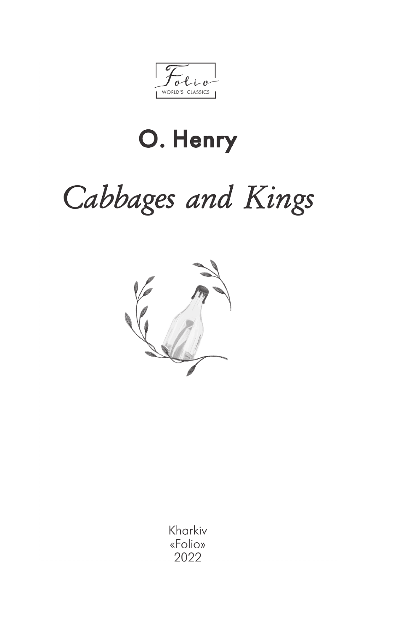WORLD'S CLASSICS

# O. Henry

# Cabbages and Kings



Kharkiv «Folio» 2022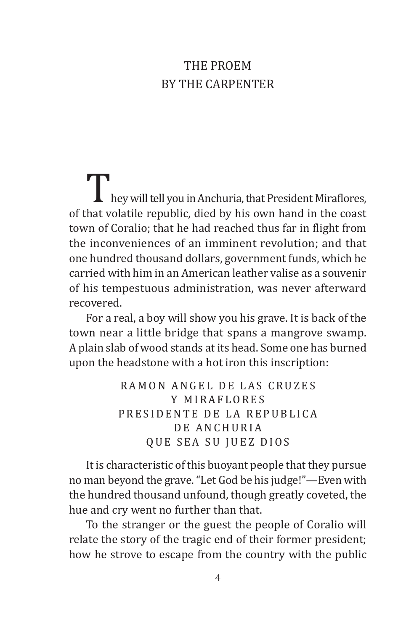## The Proem By the Carpenter

I hey will tell you in Anchuria, that President Miraflores, of that volatile republic, died by his own hand in the coast town of Coralio; that he had reached thus far in flight from the inconveniences of an imminent revolution; and that one hundred thousand dollars, government funds, which he carried with him in an American leather valise as a souvenir of his tempestuous administration, was never afterward recovered.

For a real, a boy will show you his grave. It is back of the town near a little bridge that spans a mangrove swamp. A plain slab of wood stands at its head. Some one has burned upon the headstone with a hot iron this inscription:

> RAMON ANGEL DE LAS CRUZES Y MIRAFLORES PRESIDENTE DE LA REPUBLICA DE ANCHURIA QUE SEA SU JUEZ DIOS

It is characteristic of this buoyant people that they pursue no man beyond the grave. "Let God be his judge!"—Even with the hundred thousand unfound, though greatly coveted, the hue and cry went no further than that.

To the stranger or the guest the people of Coralio will relate the story of the tragic end of their former president; how he strove to escape from the country with the public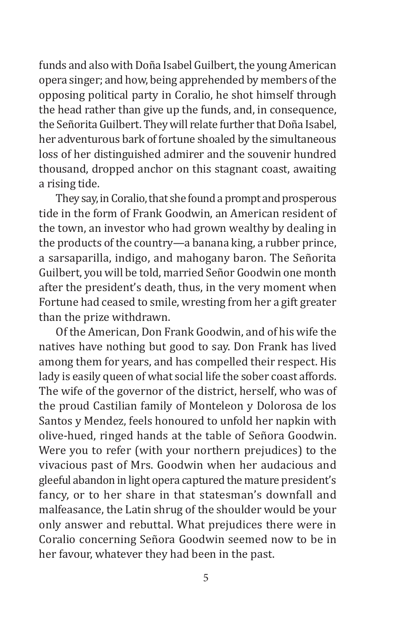funds and also with Doña Isabel Guilbert, the young American opera singer; and how, being apprehended by members of the opposing political party in Coralio, he shot himself through the head rather than give up the funds, and, in consequence, the Señorita Guilbert. They will relate further that Doña Isabel, her adventurous bark of fortune shoaled by the simultaneous loss of her distinguished admirer and the souvenir hundred thousand, dropped anchor on this stagnant coast, awaiting a rising tide.

They say, in Coralio, that she found a prompt and prosperous tide in the form of Frank Goodwin, an American resident of the town, an investor who had grown wealthy by dealing in the products of the country—a banana king, a rubber prince, a sarsaparilla, indigo, and mahogany baron. The Señorita Guilbert, you will be told, married Señor Goodwin one month after the president's death, thus, in the very moment when Fortune had ceased to smile, wresting from her a gift greater than the prize withdrawn.

Of the American, Don Frank Goodwin, and of his wife the natives have nothing but good to say. Don Frank has lived among them for years, and has compelled their respect. His lady is easily queen of what social life the sober coast affords. The wife of the governor of the district, herself, who was of the proud Castilian family of Monteleon y Dolorosa de los Santos y Mendez, feels honoured to unfold her napkin with olive-hued, ringed hands at the table of Señora Goodwin. Were you to refer (with your northern prejudices) to the vivacious past of Mrs. Goodwin when her audacious and gleeful abandon in light opera captured the mature president's fancy, or to her share in that statesman's downfall and malfeasance, the Latin shrug of the shoulder would be your only answer and rebuttal. What prejudices there were in Coralio concerning Señora Goodwin seemed now to be in her favour, whatever they had been in the past.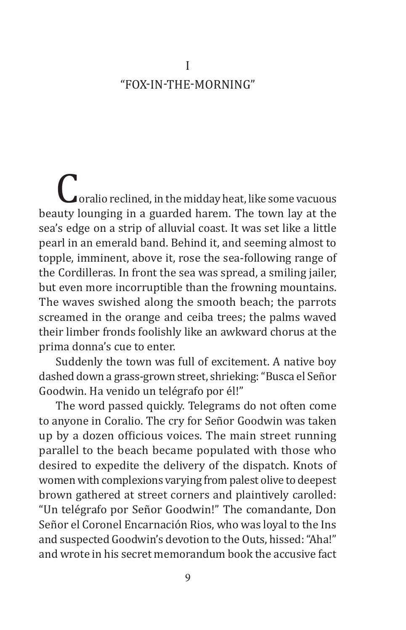### I "Fox-in-the-Morning"

 $\Box$  oralio reclined, in the midday heat, like some vacuous beauty lounging in a guarded harem. The town lay at the sea's edge on a strip of alluvial coast. It was set like a little pearl in an emerald band. Behind it, and seeming almost to topple, imminent, above it, rose the sea-following range of the Cordilleras. In front the sea was spread, a smiling jailer, but even more incorruptible than the frowning mountains. The waves swished along the smooth beach; the parrots screamed in the orange and ceiba trees; the palms waved their limber fronds foolishly like an awkward chorus at the prima donna's cue to enter.

Suddenly the town was full of excitement. A native boy dashed down a grass-grown street, shrieking: "Busca el Señor Goodwin. Ha venido un telégrafo por él!"

The word passed quickly. Telegrams do not often come to anyone in Coralio. The cry for Señor Goodwin was taken up by a dozen officious voices. The main street running parallel to the beach became populated with those who desired to expedite the delivery of the dispatch. Knots of women with complexions varying from palest olive to deepest brown gathered at street corners and plaintively carolled: "Un telégrafo por Señor Goodwin!" The comandante, Don Señor el Coronel Encarnación Rios, who was loyal to the Ins and suspected Goodwin's devotion to the Outs, hissed: "Aha!" and wrote in his secret memorandum book the accusive fact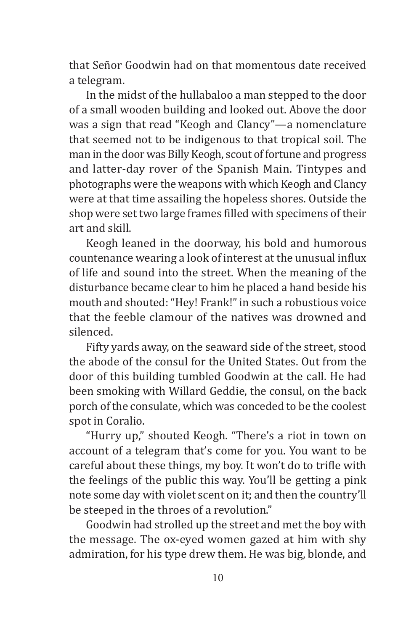that Señor Goodwin had on that momentous date received a telegram.

In the midst of the hullabaloo a man stepped to the door of a small wooden building and looked out. Above the door was a sign that read "Keogh and Clancy"—a nomenclature that seemed not to be indigenous to that tropical soil. The man in the door was Billy Keogh, scout of fortune and progress and latter-day rover of the Spanish Main. Tintypes and photographs were the weapons with which Keogh and Clancy were at that time assailing the hopeless shores. Outside the shop were set two large frames filled with specimens of their art and skill.

Keogh leaned in the doorway, his bold and humorous countenance wearing a look of interest at the unusual influx of life and sound into the street. When the meaning of the disturbance became clear to him he placed a hand beside his mouth and shouted: "Hey! Frank!" in such a robustious voice that the feeble clamour of the natives was drowned and silenced.

Fifty yards away, on the seaward side of the street, stood the abode of the consul for the United States. Out from the door of this building tumbled Goodwin at the call. He had been smoking with Willard Geddie, the consul, on the back porch of the consulate, which was conceded to be the coolest spot in Coralio.

"Hurry up," shouted Keogh. "There's a riot in town on account of a telegram that's come for you. You want to be careful about these things, my boy. It won't do to trifle with the feelings of the public this way. You'll be getting a pink note some day with violet scent on it; and then the country'll be steeped in the throes of a revolution."

Goodwin had strolled up the street and met the boy with the message. The ox-eyed women gazed at him with shy admiration, for his type drew them. He was big, blonde, and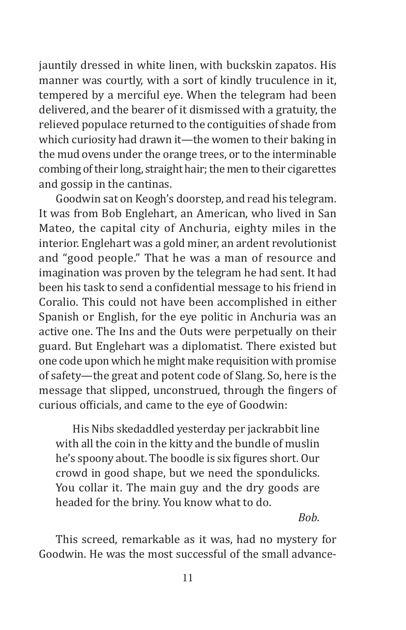jauntily dressed in white linen, with buckskin zapatos. His manner was courtly, with a sort of kindly truculence in it, tempered by a merciful eye. When the telegram had been delivered, and the bearer of it dismissed with a gratuity, the relieved populace returned to the contiguities of shade from which curiosity had drawn it—the women to their baking in the mud ovens under the orange trees, or to the interminable combing of their long, straight hair; the men to their cigarettes and gossip in the cantinas.

Goodwin sat on Keogh's doorstep, and read his telegram. It was from Bob Englehart, an American, who lived in San Mateo, the capital city of Anchuria, eighty miles in the interior. Englehart was a gold miner, an ardent revolutionist and "good people." That he was a man of resource and imagination was proven by the telegram he had sent. It had been his task to send a confidential message to his friend in Coralio. This could not have been accomplished in either Spanish or English, for the eye politic in Anchuria was an active one. The Ins and the Outs were perpetually on their guard. But Englehart was a diplomatist. There existed but one code upon which he might make requisition with promise of safety—the great and potent code of Slang. So, here is the message that slipped, unconstrued, through the fingers of curious officials, and came to the eye of Goodwin:

His Nibs skedaddled yesterday per jackrabbit line with all the coin in the kitty and the bundle of muslin he's spoony about. The boodle is six figures short. Our crowd in good shape, but we need the spondulicks. You collar it. The main guy and the dry goods are headed for the briny. You know what to do.

*Bob.*

This screed, remarkable as it was, had no mystery for Goodwin. He was the most successful of the small advance-